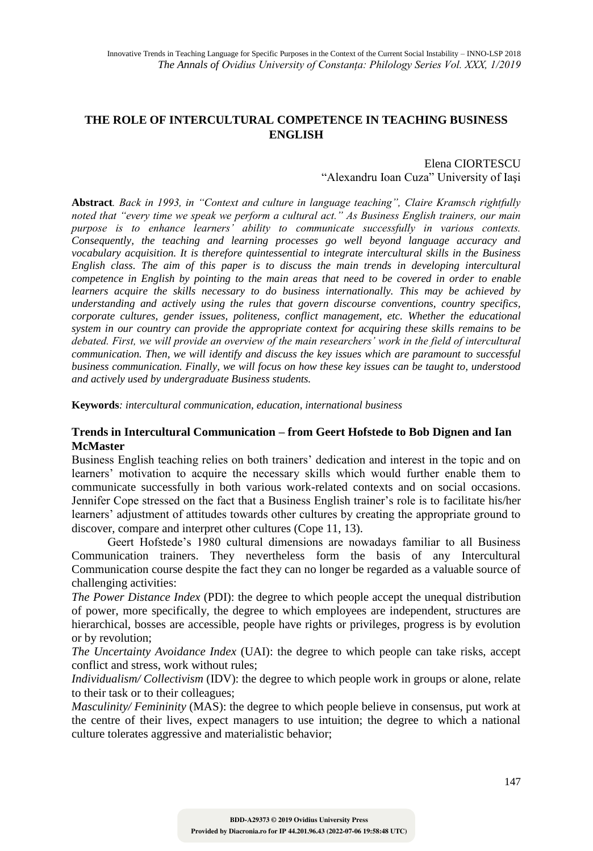# **THE ROLE OF INTERCULTURAL COMPETENCE IN TEACHING BUSINESS ENGLISH**

#### Elena CIORTESCU "Alexandru Ioan Cuza" University of Iaşi

**Abstract***. Back in 1993, in "Context and culture in language teaching", Claire Kramsch rightfully noted that "every time we speak we perform a cultural act." As Business English trainers, our main purpose is to enhance learners' ability to communicate successfully in various contexts. Consequently, the teaching and learning processes go well beyond language accuracy and vocabulary acquisition. It is therefore quintessential to integrate intercultural skills in the Business English class. The aim of this paper is to discuss the main trends in developing intercultural competence in English by pointing to the main areas that need to be covered in order to enable learners acquire the skills necessary to do business internationally. This may be achieved by understanding and actively using the rules that govern discourse conventions, country specifics, corporate cultures, gender issues, politeness, conflict management, etc. Whether the educational system in our country can provide the appropriate context for acquiring these skills remains to be debated. First, we will provide an overview of the main researchers' work in the field of intercultural communication. Then, we will identify and discuss the key issues which are paramount to successful business communication. Finally, we will focus on how these key issues can be taught to, understood and actively used by undergraduate Business students.*

**Keywords***: intercultural communication, education, international business*

## **Trends in Intercultural Communication – from Geert Hofstede to Bob Dignen and Ian McMaster**

Business English teaching relies on both trainers' dedication and interest in the topic and on learners' motivation to acquire the necessary skills which would further enable them to communicate successfully in both various work-related contexts and on social occasions. Jennifer Cope stressed on the fact that a Business English trainer's role is to facilitate his/her learners' adjustment of attitudes towards other cultures by creating the appropriate ground to discover, compare and interpret other cultures (Cope 11, 13).

Geert Hofstede's 1980 cultural dimensions are nowadays familiar to all Business Communication trainers. They nevertheless form the basis of any Intercultural Communication course despite the fact they can no longer be regarded as a valuable source of challenging activities:

*The Power Distance Index* (PDI): the degree to which people accept the unequal distribution of power, more specifically, the degree to which employees are independent, structures are hierarchical, bosses are accessible, people have rights or privileges, progress is by evolution or by revolution;

*The Uncertainty Avoidance Index* (UAI): the degree to which people can take risks, accept conflict and stress, work without rules;

*Individualism/Collectivism* (IDV): the degree to which people work in groups or alone, relate to their task or to their colleagues;

*Masculinity/ Femininity* (MAS): the degree to which people believe in consensus, put work at the centre of their lives, expect managers to use intuition; the degree to which a national culture tolerates aggressive and materialistic behavior;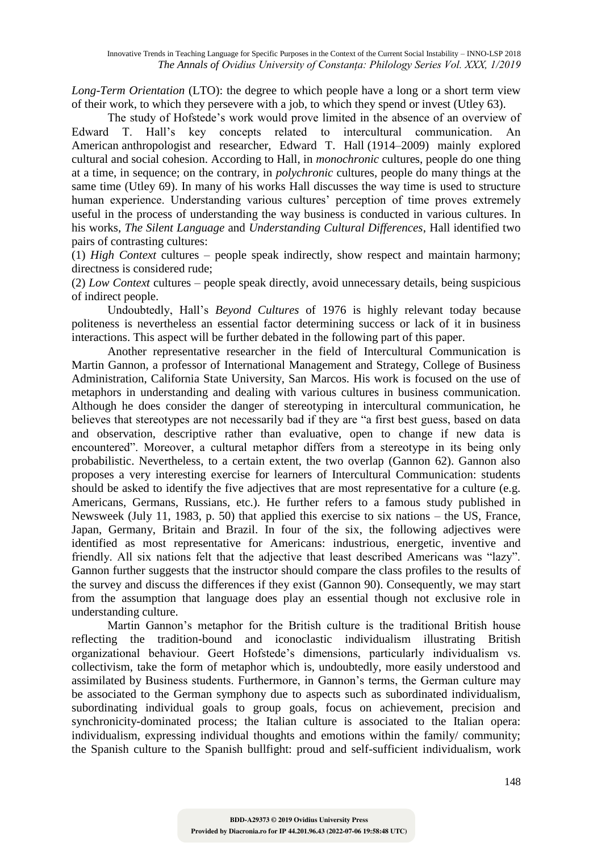*Long-Term Orientation* (LTO): the degree to which people have a long or a short term view of their work, to which they persevere with a job, to which they spend or invest (Utley 63).

The study of Hofstede's work would prove limited in the absence of an overview of Edward T. Hall's key concepts related to intercultural communication. An American anthropologist and researcher, Edward T. Hall (1914–2009) mainly explored cultural and social cohesion. According to Hall, in *monochronic* cultures, people do one thing at a time, in sequence; on the contrary, in *polychronic* cultures, people do many things at the same time (Utley 69). In many of his works Hall discusses the way time is used to structure human experience. Understanding various cultures' perception of time proves extremely useful in the process of understanding the way business is conducted in various cultures. In his works, *The Silent Language* and *Understanding Cultural Differences*, Hall identified two pairs of contrasting cultures:

(1) *High Context* cultures – people speak indirectly, show respect and maintain harmony; directness is considered rude;

(2) *Low Context* cultures – people speak directly, avoid unnecessary details, being suspicious of indirect people.

Undoubtedly, Hall's *Beyond Cultures* of 1976 is highly relevant today because politeness is nevertheless an essential factor determining success or lack of it in business interactions. This aspect will be further debated in the following part of this paper.

Another representative researcher in the field of Intercultural Communication is Martin Gannon, a professor of International Management and Strategy, College of Business Administration, California State University, San Marcos. His work is focused on the use of metaphors in understanding and dealing with various cultures in business communication. Although he does consider the danger of stereotyping in intercultural communication, he believes that stereotypes are not necessarily bad if they are "a first best guess, based on data and observation, descriptive rather than evaluative, open to change if new data is encountered". Moreover, a cultural metaphor differs from a stereotype in its being only probabilistic. Nevertheless, to a certain extent, the two overlap (Gannon 62). Gannon also proposes a very interesting exercise for learners of Intercultural Communication: students should be asked to identify the five adjectives that are most representative for a culture (e.g. Americans, Germans, Russians, etc.). He further refers to a famous study published in Newsweek (July 11, 1983, p. 50) that applied this exercise to six nations – the US, France, Japan, Germany, Britain and Brazil. In four of the six, the following adjectives were identified as most representative for Americans: industrious, energetic, inventive and friendly. All six nations felt that the adjective that least described Americans was "lazy". Gannon further suggests that the instructor should compare the class profiles to the results of the survey and discuss the differences if they exist (Gannon 90). Consequently, we may start from the assumption that language does play an essential though not exclusive role in understanding culture.

Martin Gannon's metaphor for the British culture is the traditional British house reflecting the tradition-bound and iconoclastic individualism illustrating British organizational behaviour. Geert Hofstede's dimensions, particularly individualism vs. collectivism, take the form of metaphor which is, undoubtedly, more easily understood and assimilated by Business students. Furthermore, in Gannon's terms, the German culture may be associated to the German symphony due to aspects such as subordinated individualism, subordinating individual goals to group goals, focus on achievement, precision and synchronicity-dominated process; the Italian culture is associated to the Italian opera: individualism, expressing individual thoughts and emotions within the family/ community; the Spanish culture to the Spanish bullfight: proud and self-sufficient individualism, work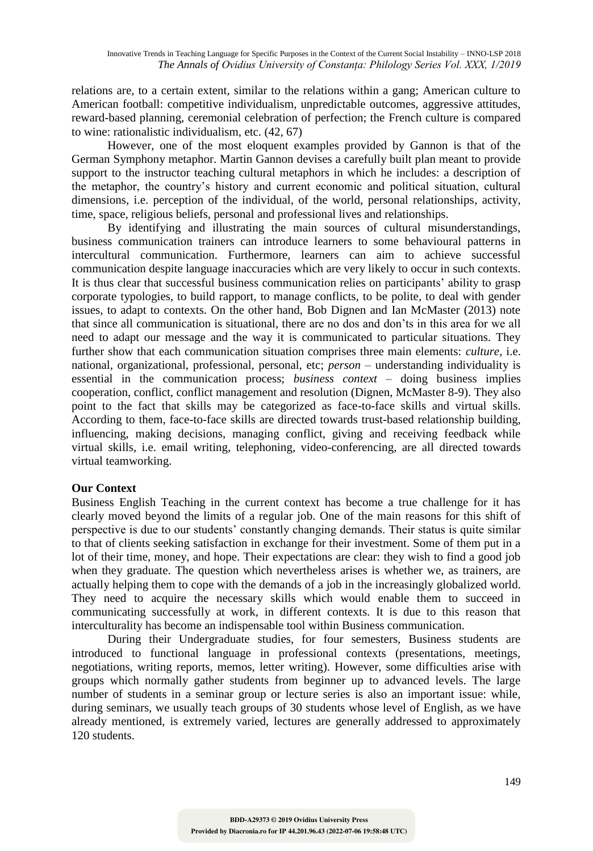relations are, to a certain extent, similar to the relations within a gang; American culture to American football: competitive individualism, unpredictable outcomes, aggressive attitudes, reward-based planning, ceremonial celebration of perfection; the French culture is compared to wine: rationalistic individualism, etc. (42, 67)

However, one of the most eloquent examples provided by Gannon is that of the German Symphony metaphor. Martin Gannon devises a carefully built plan meant to provide support to the instructor teaching cultural metaphors in which he includes: a description of the metaphor, the country's history and current economic and political situation, cultural dimensions, i.e. perception of the individual, of the world, personal relationships, activity, time, space, religious beliefs, personal and professional lives and relationships.

By identifying and illustrating the main sources of cultural misunderstandings, business communication trainers can introduce learners to some behavioural patterns in intercultural communication. Furthermore, learners can aim to achieve successful communication despite language inaccuracies which are very likely to occur in such contexts. It is thus clear that successful business communication relies on participants' ability to grasp corporate typologies, to build rapport, to manage conflicts, to be polite, to deal with gender issues, to adapt to contexts. On the other hand, Bob Dignen and Ian McMaster (2013) note that since all communication is situational, there are no dos and don'ts in this area for we all need to adapt our message and the way it is communicated to particular situations. They further show that each communication situation comprises three main elements: *culture*, i.e. national, organizational, professional, personal, etc; *person* – understanding individuality is essential in the communication process; *business context* – doing business implies cooperation, conflict, conflict management and resolution (Dignen, McMaster 8-9). They also point to the fact that skills may be categorized as face-to-face skills and virtual skills. According to them, face-to-face skills are directed towards trust-based relationship building, influencing, making decisions, managing conflict, giving and receiving feedback while virtual skills, i.e. email writing, telephoning, video-conferencing, are all directed towards virtual teamworking.

## **Our Context**

Business English Teaching in the current context has become a true challenge for it has clearly moved beyond the limits of a regular job. One of the main reasons for this shift of perspective is due to our students' constantly changing demands. Their status is quite similar to that of clients seeking satisfaction in exchange for their investment. Some of them put in a lot of their time, money, and hope. Their expectations are clear: they wish to find a good job when they graduate. The question which nevertheless arises is whether we, as trainers, are actually helping them to cope with the demands of a job in the increasingly globalized world. They need to acquire the necessary skills which would enable them to succeed in communicating successfully at work, in different contexts. It is due to this reason that interculturality has become an indispensable tool within Business communication.

During their Undergraduate studies, for four semesters, Business students are introduced to functional language in professional contexts (presentations, meetings, negotiations, writing reports, memos, letter writing). However, some difficulties arise with groups which normally gather students from beginner up to advanced levels. The large number of students in a seminar group or lecture series is also an important issue: while, during seminars, we usually teach groups of 30 students whose level of English, as we have already mentioned, is extremely varied, lectures are generally addressed to approximately 120 students.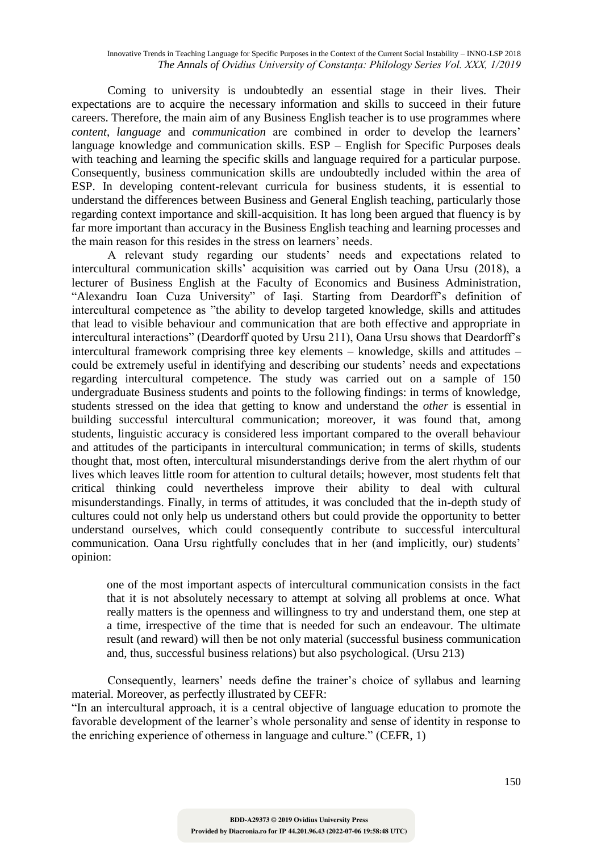Coming to university is undoubtedly an essential stage in their lives. Their expectations are to acquire the necessary information and skills to succeed in their future careers. Therefore, the main aim of any Business English teacher is to use programmes where *content*, *language* and *communication* are combined in order to develop the learners' language knowledge and communication skills. ESP – English for Specific Purposes deals with teaching and learning the specific skills and language required for a particular purpose. Consequently, business communication skills are undoubtedly included within the area of ESP. In developing content-relevant curricula for business students, it is essential to understand the differences between Business and General English teaching, particularly those regarding context importance and skill-acquisition. It has long been argued that fluency is by far more important than accuracy in the Business English teaching and learning processes and the main reason for this resides in the stress on learners' needs.

A relevant study regarding our students' needs and expectations related to intercultural communication skills' acquisition was carried out by Oana Ursu (2018), a lecturer of Business English at the Faculty of Economics and Business Administration, "Alexandru Ioan Cuza University" of Iaşi. Starting from Deardorff's definition of intercultural competence as "the ability to develop targeted knowledge, skills and attitudes that lead to visible behaviour and communication that are both effective and appropriate in intercultural interactions" (Deardorff quoted by Ursu 211), Oana Ursu shows that Deardorff's intercultural framework comprising three key elements – knowledge, skills and attitudes – could be extremely useful in identifying and describing our students' needs and expectations regarding intercultural competence. The study was carried out on a sample of 150 undergraduate Business students and points to the following findings: in terms of knowledge, students stressed on the idea that getting to know and understand the *other* is essential in building successful intercultural communication; moreover, it was found that, among students, linguistic accuracy is considered less important compared to the overall behaviour and attitudes of the participants in intercultural communication; in terms of skills, students thought that, most often, intercultural misunderstandings derive from the alert rhythm of our lives which leaves little room for attention to cultural details; however, most students felt that critical thinking could nevertheless improve their ability to deal with cultural misunderstandings. Finally, in terms of attitudes, it was concluded that the in-depth study of cultures could not only help us understand others but could provide the opportunity to better understand ourselves, which could consequently contribute to successful intercultural communication. Oana Ursu rightfully concludes that in her (and implicitly, our) students' opinion:

one of the most important aspects of intercultural communication consists in the fact that it is not absolutely necessary to attempt at solving all problems at once. What really matters is the openness and willingness to try and understand them, one step at a time, irrespective of the time that is needed for such an endeavour. The ultimate result (and reward) will then be not only material (successful business communication and, thus, successful business relations) but also psychological. (Ursu 213)

Consequently, learners' needs define the trainer's choice of syllabus and learning material. Moreover, as perfectly illustrated by CEFR:

"In an intercultural approach, it is a central objective of language education to promote the favorable development of the learner's whole personality and sense of identity in response to the enriching experience of otherness in language and culture." (CEFR, 1)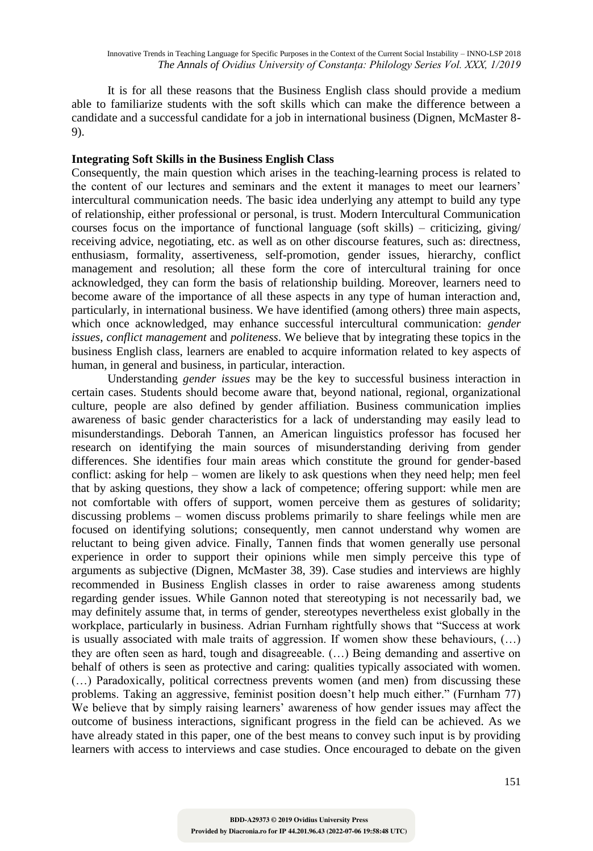It is for all these reasons that the Business English class should provide a medium able to familiarize students with the soft skills which can make the difference between a candidate and a successful candidate for a job in international business (Dignen, McMaster 8- 9).

#### **Integrating Soft Skills in the Business English Class**

Consequently, the main question which arises in the teaching-learning process is related to the content of our lectures and seminars and the extent it manages to meet our learners' intercultural communication needs. The basic idea underlying any attempt to build any type of relationship, either professional or personal, is trust. Modern Intercultural Communication courses focus on the importance of functional language (soft skills) – criticizing, giving/ receiving advice, negotiating, etc. as well as on other discourse features, such as: directness, enthusiasm, formality, assertiveness, self-promotion, gender issues, hierarchy, conflict management and resolution; all these form the core of intercultural training for once acknowledged, they can form the basis of relationship building. Moreover, learners need to become aware of the importance of all these aspects in any type of human interaction and, particularly, in international business. We have identified (among others) three main aspects, which once acknowledged, may enhance successful intercultural communication: *gender issues*, *conflict management* and *politeness*. We believe that by integrating these topics in the business English class, learners are enabled to acquire information related to key aspects of human, in general and business, in particular, interaction.

Understanding *gender issues* may be the key to successful business interaction in certain cases. Students should become aware that, beyond national, regional, organizational culture, people are also defined by gender affiliation. Business communication implies awareness of basic gender characteristics for a lack of understanding may easily lead to misunderstandings. Deborah Tannen, an American linguistics professor has focused her research on identifying the main sources of misunderstanding deriving from gender differences. She identifies four main areas which constitute the ground for gender-based conflict: asking for help – women are likely to ask questions when they need help; men feel that by asking questions, they show a lack of competence; offering support: while men are not comfortable with offers of support, women perceive them as gestures of solidarity; discussing problems – women discuss problems primarily to share feelings while men are focused on identifying solutions; consequently, men cannot understand why women are reluctant to being given advice. Finally, Tannen finds that women generally use personal experience in order to support their opinions while men simply perceive this type of arguments as subjective (Dignen, McMaster 38, 39). Case studies and interviews are highly recommended in Business English classes in order to raise awareness among students regarding gender issues. While Gannon noted that stereotyping is not necessarily bad, we may definitely assume that, in terms of gender, stereotypes nevertheless exist globally in the workplace, particularly in business. Adrian Furnham rightfully shows that "Success at work is usually associated with male traits of aggression. If women show these behaviours, (…) they are often seen as hard, tough and disagreeable. (…) Being demanding and assertive on behalf of others is seen as protective and caring: qualities typically associated with women. (…) Paradoxically, political correctness prevents women (and men) from discussing these problems. Taking an aggressive, feminist position doesn't help much either." (Furnham 77) We believe that by simply raising learners' awareness of how gender issues may affect the outcome of business interactions, significant progress in the field can be achieved. As we have already stated in this paper, one of the best means to convey such input is by providing learners with access to interviews and case studies. Once encouraged to debate on the given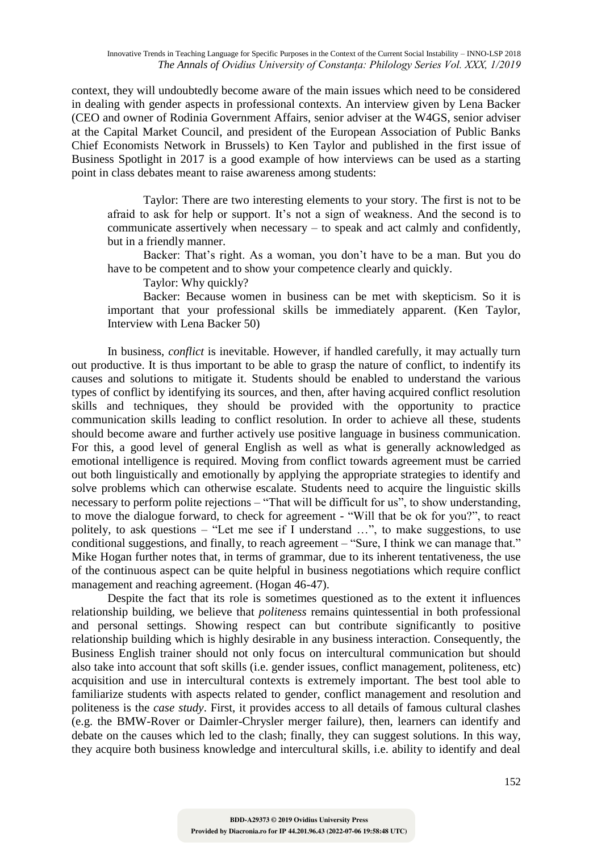Innovative Trends in Teaching Language for Specific Purposes in the Context of the Current Social Instability – INNO-LSP 2018 *The Annals of Ovidius University of Constanța: Philology Series Vol. XXX, 1/2019*

context, they will undoubtedly become aware of the main issues which need to be considered in dealing with gender aspects in professional contexts. An interview given by Lena Backer (CEO and owner of Rodinia Government Affairs, senior adviser at the W4GS, senior adviser at the Capital Market Council, and president of the European Association of Public Banks Chief Economists Network in Brussels) to Ken Taylor and published in the first issue of Business Spotlight in 2017 is a good example of how interviews can be used as a starting point in class debates meant to raise awareness among students:

Taylor: There are two interesting elements to your story. The first is not to be afraid to ask for help or support. It's not a sign of weakness. And the second is to communicate assertively when necessary – to speak and act calmly and confidently, but in a friendly manner.

Backer: That's right. As a woman, you don't have to be a man. But you do have to be competent and to show your competence clearly and quickly.

Taylor: Why quickly?

Backer: Because women in business can be met with skepticism. So it is important that your professional skills be immediately apparent. (Ken Taylor, Interview with Lena Backer 50)

In business, *conflict* is inevitable. However, if handled carefully, it may actually turn out productive. It is thus important to be able to grasp the nature of conflict, to indentify its causes and solutions to mitigate it. Students should be enabled to understand the various types of conflict by identifying its sources, and then, after having acquired conflict resolution skills and techniques, they should be provided with the opportunity to practice communication skills leading to conflict resolution. In order to achieve all these, students should become aware and further actively use positive language in business communication. For this, a good level of general English as well as what is generally acknowledged as emotional intelligence is required. Moving from conflict towards agreement must be carried out both linguistically and emotionally by applying the appropriate strategies to identify and solve problems which can otherwise escalate. Students need to acquire the linguistic skills necessary to perform polite rejections – "That will be difficult for us", to show understanding, to move the dialogue forward, to check for agreement - "Will that be ok for you?", to react politely, to ask questions – "Let me see if I understand …", to make suggestions, to use conditional suggestions, and finally, to reach agreement – "Sure, I think we can manage that." Mike Hogan further notes that, in terms of grammar, due to its inherent tentativeness, the use of the continuous aspect can be quite helpful in business negotiations which require conflict management and reaching agreement. (Hogan 46-47).

Despite the fact that its role is sometimes questioned as to the extent it influences relationship building, we believe that *politeness* remains quintessential in both professional and personal settings. Showing respect can but contribute significantly to positive relationship building which is highly desirable in any business interaction. Consequently, the Business English trainer should not only focus on intercultural communication but should also take into account that soft skills (i.e. gender issues, conflict management, politeness, etc) acquisition and use in intercultural contexts is extremely important. The best tool able to familiarize students with aspects related to gender, conflict management and resolution and politeness is the *case study*. First, it provides access to all details of famous cultural clashes (e.g. the BMW-Rover or Daimler-Chrysler merger failure), then, learners can identify and debate on the causes which led to the clash; finally, they can suggest solutions. In this way, they acquire both business knowledge and intercultural skills, i.e. ability to identify and deal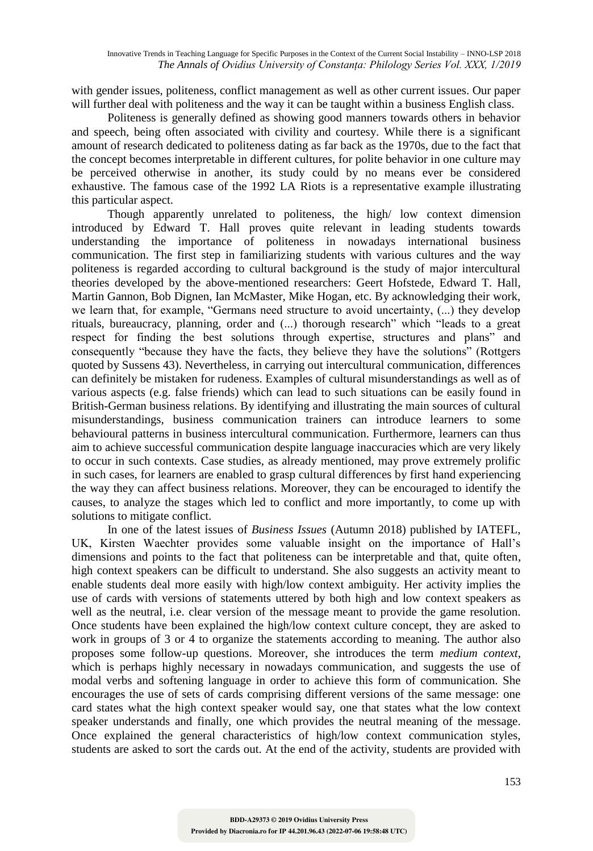with gender issues, politeness, conflict management as well as other current issues. Our paper will further deal with politeness and the way it can be taught within a business English class.

Politeness is generally defined as showing good manners towards others in behavior and speech, being often associated with civility and courtesy. While there is a significant amount of research dedicated to politeness dating as far back as the 1970s, due to the fact that the concept becomes interpretable in different cultures, for polite behavior in one culture may be perceived otherwise in another, its study could by no means ever be considered exhaustive. The famous case of the 1992 LA Riots is a representative example illustrating this particular aspect.

Though apparently unrelated to politeness, the high/ low context dimension introduced by Edward T. Hall proves quite relevant in leading students towards understanding the importance of politeness in nowadays international business communication. The first step in familiarizing students with various cultures and the way politeness is regarded according to cultural background is the study of major intercultural theories developed by the above-mentioned researchers: Geert Hofstede, Edward T. Hall, Martin Gannon, Bob Dignen, Ian McMaster, Mike Hogan, etc. By acknowledging their work, we learn that, for example, "Germans need structure to avoid uncertainty, (...) they develop rituals, bureaucracy, planning, order and (...) thorough research" which "leads to a great respect for finding the best solutions through expertise, structures and plans" and consequently "because they have the facts, they believe they have the solutions" (Rottgers quoted by Sussens 43). Nevertheless, in carrying out intercultural communication, differences can definitely be mistaken for rudeness. Examples of cultural misunderstandings as well as of various aspects (e.g. false friends) which can lead to such situations can be easily found in British-German business relations. By identifying and illustrating the main sources of cultural misunderstandings, business communication trainers can introduce learners to some behavioural patterns in business intercultural communication. Furthermore, learners can thus aim to achieve successful communication despite language inaccuracies which are very likely to occur in such contexts. Case studies, as already mentioned, may prove extremely prolific in such cases, for learners are enabled to grasp cultural differences by first hand experiencing the way they can affect business relations. Moreover, they can be encouraged to identify the causes, to analyze the stages which led to conflict and more importantly, to come up with solutions to mitigate conflict.

In one of the latest issues of *Business Issues* (Autumn 2018) published by IATEFL, UK, Kirsten Waechter provides some valuable insight on the importance of Hall's dimensions and points to the fact that politeness can be interpretable and that, quite often, high context speakers can be difficult to understand. She also suggests an activity meant to enable students deal more easily with high/low context ambiguity. Her activity implies the use of cards with versions of statements uttered by both high and low context speakers as well as the neutral, i.e. clear version of the message meant to provide the game resolution. Once students have been explained the high/low context culture concept, they are asked to work in groups of 3 or 4 to organize the statements according to meaning. The author also proposes some follow-up questions. Moreover, she introduces the term *medium context*, which is perhaps highly necessary in nowadays communication, and suggests the use of modal verbs and softening language in order to achieve this form of communication. She encourages the use of sets of cards comprising different versions of the same message: one card states what the high context speaker would say, one that states what the low context speaker understands and finally, one which provides the neutral meaning of the message. Once explained the general characteristics of high/low context communication styles, students are asked to sort the cards out. At the end of the activity, students are provided with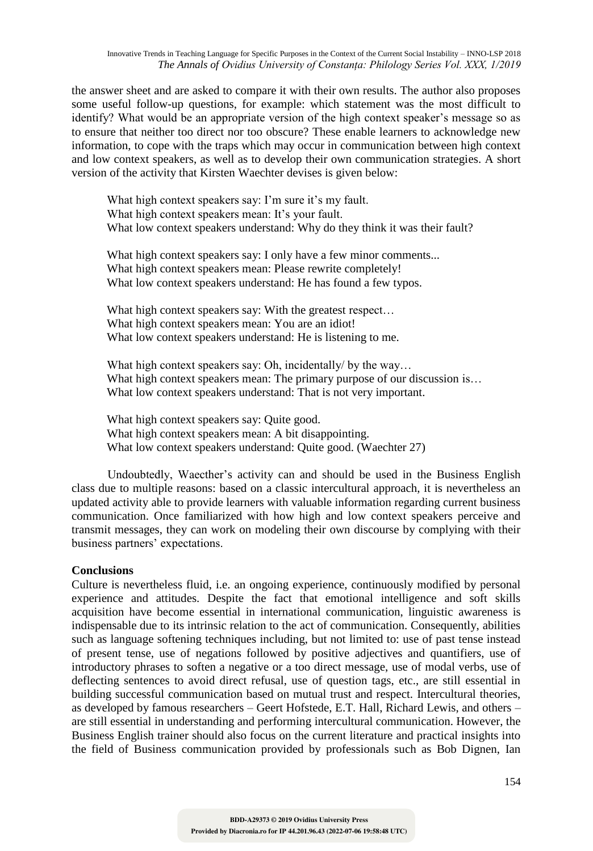the answer sheet and are asked to compare it with their own results. The author also proposes some useful follow-up questions, for example: which statement was the most difficult to identify? What would be an appropriate version of the high context speaker's message so as to ensure that neither too direct nor too obscure? These enable learners to acknowledge new information, to cope with the traps which may occur in communication between high context and low context speakers, as well as to develop their own communication strategies. A short version of the activity that Kirsten Waechter devises is given below:

What high context speakers say: I'm sure it's my fault. What high context speakers mean: It's your fault. What low context speakers understand: Why do they think it was their fault?

What high context speakers say: I only have a few minor comments... What high context speakers mean: Please rewrite completely! What low context speakers understand: He has found a few typos.

What high context speakers say: With the greatest respect... What high context speakers mean: You are an idiot! What low context speakers understand: He is listening to me.

What high context speakers say: Oh, incidentally/ by the way... What high context speakers mean: The primary purpose of our discussion is... What low context speakers understand: That is not very important.

What high context speakers say: Quite good. What high context speakers mean: A bit disappointing. What low context speakers understand: Quite good. (Waechter 27)

Undoubtedly, Waecther's activity can and should be used in the Business English class due to multiple reasons: based on a classic intercultural approach, it is nevertheless an updated activity able to provide learners with valuable information regarding current business communication. Once familiarized with how high and low context speakers perceive and transmit messages, they can work on modeling their own discourse by complying with their business partners' expectations.

#### **Conclusions**

Culture is nevertheless fluid, i.e. an ongoing experience, continuously modified by personal experience and attitudes. Despite the fact that emotional intelligence and soft skills acquisition have become essential in international communication, linguistic awareness is indispensable due to its intrinsic relation to the act of communication. Consequently, abilities such as language softening techniques including, but not limited to: use of past tense instead of present tense, use of negations followed by positive adjectives and quantifiers, use of introductory phrases to soften a negative or a too direct message, use of modal verbs, use of deflecting sentences to avoid direct refusal, use of question tags, etc., are still essential in building successful communication based on mutual trust and respect. Intercultural theories, as developed by famous researchers – Geert Hofstede, E.T. Hall, Richard Lewis, and others – are still essential in understanding and performing intercultural communication. However, the Business English trainer should also focus on the current literature and practical insights into the field of Business communication provided by professionals such as Bob Dignen, Ian